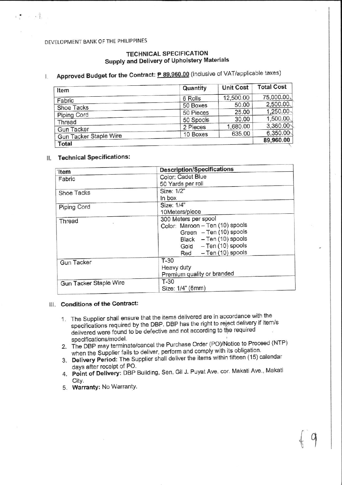# DEVELOPMENT BANK OF THE PHILIPPINES

 $\mathbf{r} = \mathbf{r} \cdot \mathbf{r}$  .

### **TECHNICAL SPECIFICATION** Supply and Delivery of Upholstery Materials

#### Approved Budget for the Contract: P 89,960.00 (inclusive of VAT/applicable taxes)  $\mathbf{L}$

| Quantity  | <b>Unit Cost</b> | <b>Total Cost</b>        |
|-----------|------------------|--------------------------|
| 6 Rolls   | 12,500.00        | 75,000.00                |
| 50 Boxes  | 50.00            | 2,500.00                 |
| 50 Pieces | 25.00            | $1,250.00 \, \backslash$ |
|           | 30.00            | 1,500.00                 |
| 2 Pieces  | 1,680.00         | 3,360.00                 |
| 10 Boxes  | 635.00           | 6.350.00                 |
|           |                  | 89,960.00                |
|           | 50 Spools        |                          |

# II. Technical Specifications:

| 'Item                         | <b>Description/Specifications</b>                                                                                                                                 |
|-------------------------------|-------------------------------------------------------------------------------------------------------------------------------------------------------------------|
| Fabric                        | Color: Cadet Blue<br>50 Yards per roll                                                                                                                            |
| Shoe Tacks                    | Size: 1/2"<br>In box                                                                                                                                              |
| Piping Cord                   | Size: 1/4"<br>10Meters/piece                                                                                                                                      |
| Thread                        | 300 Meters per spool<br>Color: Maroon - Ten (10) spools<br>Green - Ten (10) spools<br>Black - Ten (10) spools<br>Gold - Ten (10) spools<br>$Red - Ten(10)$ spools |
| <b>Gun Tacker</b>             | $T-30$<br>Heavy duty<br>Premium quality or branded                                                                                                                |
| <b>Gun Tacker Staple Wire</b> | $T-30$<br>Size: 1/4" (6mm)                                                                                                                                        |

# III. Conditions of the Contract:

- 1. The Supplier shall ensure that the items delivered are in accordance with the specifications required by the DBP. DBP has the right to reject delivery if item/s delivered were found to be defective and not according to the required specifications/model.
- 2. The DBP may terminate/cancel the Purchase Order (PO)/Notice to Proceed (NTP) when the Supplier fails to deliver, perform and comply with its obligation.
- 3. Delivery Period: The Supplier shall deliver the items within fifteen (15) calendar days after receipt of PO.
- 4. Point of Delivery: DBP Building, Sen. Gil J. Puyat Ave. cor. Makati Ave., Makati City.
- 5. Warranty: No Warranty.